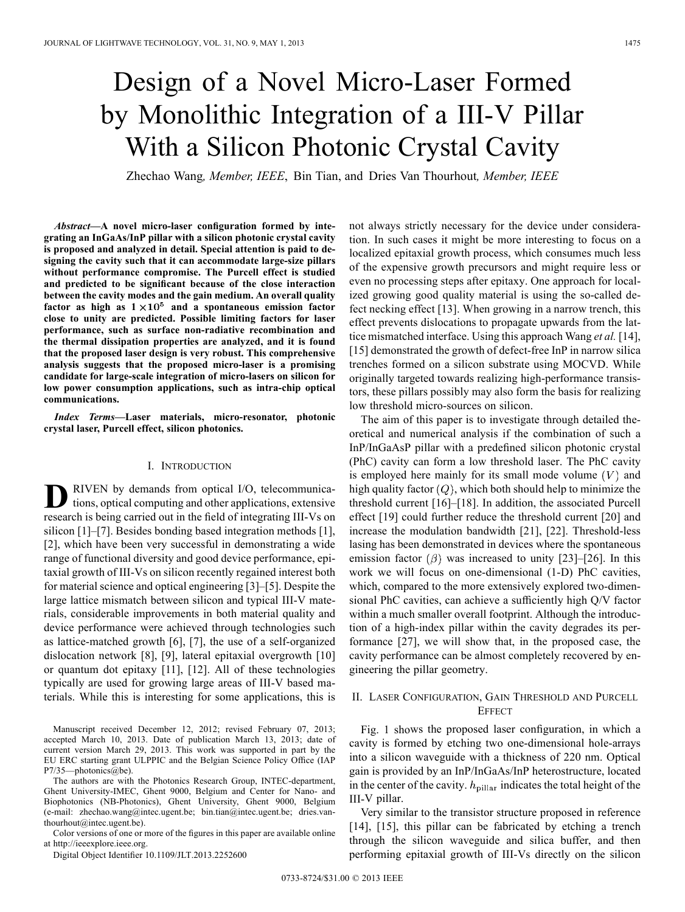# Design of a Novel Micro-Laser Formed by Monolithic Integration of a III-V Pillar With a Silicon Photonic Crystal Cavity

Zhechao Wang*, Member, IEEE*, Bin Tian, and Dries Van Thourhout*, Member, IEEE*

*Abstract—***A novel micro-laser configuration formed by integrating an InGaAs/InP pillar with a silicon photonic crystal cavity is proposed and analyzed in detail. Special attention is paid to designing the cavity such that it can accommodate large-size pillars without performance compromise. The Purcell effect is studied and predicted to be significant because of the close interaction between the cavity modes and the gain medium. An overall quality** factor as high as  $1 \times 10^5$  and a spontaneous emission factor **close to unity are predicted. Possible limiting factors for laser performance, such as surface non-radiative recombination and the thermal dissipation properties are analyzed, and it is found that the proposed laser design is very robust. This comprehensive analysis suggests that the proposed micro-laser is a promising candidate for large-scale integration of micro-lasers on silicon for low power consumption applications, such as intra-chip optical communications.**

*Index Terms—***Laser materials, micro-resonator, photonic crystal laser, Purcell effect, silicon photonics.**

## I. INTRODUCTION

**D**RIVEN by demands from optical I/O, telecommunications, optical computing and other applications, extensive research is being carried out in the field of integrating III-Vs on silicon [1]–[7]. Besides bonding based integration methods [1], [2], which have been very successful in demonstrating a wide range of functional diversity and good device performance, epitaxial growth of III-Vs on silicon recently regained interest both for material science and optical engineering [3]–[5]. Despite the large lattice mismatch between silicon and typical III-V materials, considerable improvements in both material quality and device performance were achieved through technologies such as lattice-matched growth [6], [7], the use of a self-organized dislocation network [8], [9], lateral epitaxial overgrowth [10] or quantum dot epitaxy [11], [12]. All of these technologies typically are used for growing large areas of III-V based materials. While this is interesting for some applications, this is

Manuscript received December 12, 2012; revised February 07, 2013; accepted March 10, 2013. Date of publication March 13, 2013; date of current version March 29, 2013. This work was supported in part by the EU ERC starting grant ULPPIC and the Belgian Science Policy Office (IAP P7/35—photonics@be).

The authors are with the Photonics Research Group, INTEC-department, Ghent University-IMEC, Ghent 9000, Belgium and Center for Nano- and Biophotonics (NB-Photonics), Ghent University, Ghent 9000, Belgium (e-mail: zhechao.wang@intec.ugent.be; bin.tian@intec.ugent.be; dries.vanthourhout@intec.ugent.be).

Color versions of one or more of the figures in this paper are available online at http://ieeexplore.ieee.org.

Digital Object Identifier 10.1109/JLT.2013.2252600

not always strictly necessary for the device under consideration. In such cases it might be more interesting to focus on a localized epitaxial growth process, which consumes much less of the expensive growth precursors and might require less or even no processing steps after epitaxy. One approach for localized growing good quality material is using the so-called defect necking effect [13]. When growing in a narrow trench, this effect prevents dislocations to propagate upwards from the lattice mismatched interface. Using this approach Wang *et al.* [14], [15] demonstrated the growth of defect-free InP in narrow silica trenches formed on a silicon substrate using MOCVD. While originally targeted towards realizing high-performance transistors, these pillars possibly may also form the basis for realizing low threshold micro-sources on silicon.

The aim of this paper is to investigate through detailed theoretical and numerical analysis if the combination of such a InP/InGaAsP pillar with a predefined silicon photonic crystal (PhC) cavity can form a low threshold laser. The PhC cavity is employed here mainly for its small mode volume  $(V)$  and high quality factor  $(Q)$ , which both should help to minimize the threshold current [16]–[18]. In addition, the associated Purcell effect [19] could further reduce the threshold current [20] and increase the modulation bandwidth [21], [22]. Threshold-less lasing has been demonstrated in devices where the spontaneous emission factor  $(\beta)$  was increased to unity [23]–[26]. In this work we will focus on one-dimensional (1-D) PhC cavities, which, compared to the more extensively explored two-dimensional PhC cavities, can achieve a sufficiently high Q/V factor within a much smaller overall footprint. Although the introduction of a high-index pillar within the cavity degrades its performance [27], we will show that, in the proposed case, the cavity performance can be almost completely recovered by engineering the pillar geometry.

# II. LASER CONFIGURATION, GAIN THRESHOLD AND PURCELL **EFFECT**

Fig. 1 shows the proposed laser configuration, in which a cavity is formed by etching two one-dimensional hole-arrays into a silicon waveguide with a thickness of 220 nm. Optical gain is provided by an InP/InGaAs/InP heterostructure, located in the center of the cavity.  $h_{\text{pillar}}$  indicates the total height of the III-V pillar.

Very similar to the transistor structure proposed in reference [14], [15], this pillar can be fabricated by etching a trench through the silicon waveguide and silica buffer, and then performing epitaxial growth of III-Vs directly on the silicon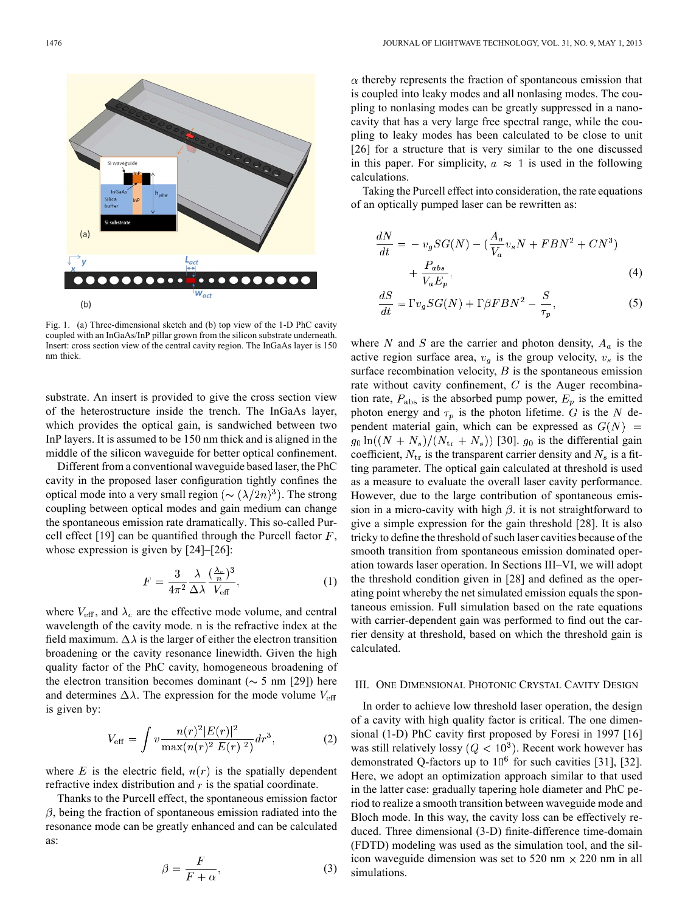

Fig. 1. (a) Three-dimensional sketch and (b) top view of the 1-D PhC cavity coupled with an InGaAs/InP pillar grown from the silicon substrate underneath. Insert: cross section view of the central cavity region. The InGaAs layer is 150 nm thick.

substrate. An insert is provided to give the cross section view of the heterostructure inside the trench. The InGaAs layer, which provides the optical gain, is sandwiched between two InP layers. It is assumed to be 150 nm thick and is aligned in the middle of the silicon waveguide for better optical confinement.

Different from a conventional waveguide based laser, the PhC cavity in the proposed laser configuration tightly confines the optical mode into a very small region ( $\sim (\lambda/2n)^3$ ). The strong coupling between optical modes and gain medium can change the spontaneous emission rate dramatically. This so-called Purcell effect [19] can be quantified through the Purcell factor  $F$ , whose expression is given by [24]–[26]:

$$
F = \frac{3}{4\pi^2} \frac{\lambda}{\Delta \lambda} \frac{(\frac{\lambda_c}{n})^3}{V_{\text{eff}}},\tag{1}
$$

where  $V_{\text{eff}}$ , and  $\lambda_c$  are the effective mode volume, and central wavelength of the cavity mode. n is the refractive index at the field maximum.  $\Delta \lambda$  is the larger of either the electron transition broadening or the cavity resonance linewidth. Given the high quality factor of the PhC cavity, homogeneous broadening of the electron transition becomes dominant ( $\sim$  5 nm [29]) here and determines  $\Delta \lambda$ . The expression for the mode volume  $V_{\text{eff}}$ is given by:

$$
V_{\text{eff}} = \int v \frac{n(r)^2 |E(r)|^2}{\max(n(r)^2 |E(r)|^2)} dr^3, \tag{2}
$$

where E is the electric field,  $n(r)$  is the spatially dependent refractive index distribution and  $r$  is the spatial coordinate.

Thanks to the Purcell effect, the spontaneous emission factor  $\beta$ , being the fraction of spontaneous emission radiated into the resonance mode can be greatly enhanced and can be calculated as:

$$
\beta = \frac{F}{F + \alpha},\tag{3}
$$

 $\alpha$  thereby represents the fraction of spontaneous emission that is coupled into leaky modes and all nonlasing modes. The coupling to nonlasing modes can be greatly suppressed in a nanocavity that has a very large free spectral range, while the coupling to leaky modes has been calculated to be close to unit [26] for a structure that is very similar to the one discussed in this paper. For simplicity,  $a \approx 1$  is used in the following calculations.

Taking the Purcell effect into consideration, the rate equations of an optically pumped laser can be rewritten as:

$$
\frac{dN}{dt} = -v_g SG(N) - \left(\frac{A_a}{V_a} v_s N + FBN^2 + CN^3\right) + \frac{P_{abs}}{V_a E_n},
$$
\n(4)

$$
\frac{dS}{dt} = \Gamma v_g SG(N) + \Gamma \beta F B N^2 - \frac{S}{\tau_p},\tag{5}
$$

where N and S are the carrier and photon density,  $A_a$  is the active region surface area,  $v_q$  is the group velocity,  $v_s$  is the surface recombination velocity,  $B$  is the spontaneous emission rate without cavity confinement,  $C$  is the Auger recombination rate,  $P_{\text{abs}}$  is the absorbed pump power,  $E_p$  is the emitted photon energy and  $\tau_p$  is the photon lifetime. G is the N dependent material gain, which can be expressed as  $G(N)$  =  $g_0 \ln((N + N_s)/(N_{\text{tr}} + N_s))$  [30].  $g_0$  is the differential gain coefficient,  $N_{tr}$  is the transparent carrier density and  $N_s$  is a fitting parameter. The optical gain calculated at threshold is used as a measure to evaluate the overall laser cavity performance. However, due to the large contribution of spontaneous emission in a micro-cavity with high  $\beta$ . it is not straightforward to give a simple expression for the gain threshold [28]. It is also tricky to define the threshold of such laser cavities because of the smooth transition from spontaneous emission dominated operation towards laser operation. In Sections III–VI, we will adopt the threshold condition given in [28] and defined as the operating point whereby the net simulated emission equals the spontaneous emission. Full simulation based on the rate equations with carrier-dependent gain was performed to find out the carrier density at threshold, based on which the threshold gain is calculated.

# III. ONE DIMENSIONAL PHOTONIC CRYSTAL CAVITY DESIGN

In order to achieve low threshold laser operation, the design of a cavity with high quality factor is critical. The one dimensional (1-D) PhC cavity first proposed by Foresi in 1997 [16] was still relatively lossy ( $Q < 10<sup>3</sup>$ ). Recent work however has demonstrated Q-factors up to  $10^6$  for such cavities [31], [32]. Here, we adopt an optimization approach similar to that used in the latter case: gradually tapering hole diameter and PhC period to realize a smooth transition between waveguide mode and Bloch mode. In this way, the cavity loss can be effectively reduced. Three dimensional (3-D) finite-difference time-domain (FDTD) modeling was used as the simulation tool, and the silicon waveguide dimension was set to 520 nm  $\times$  220 nm in all simulations.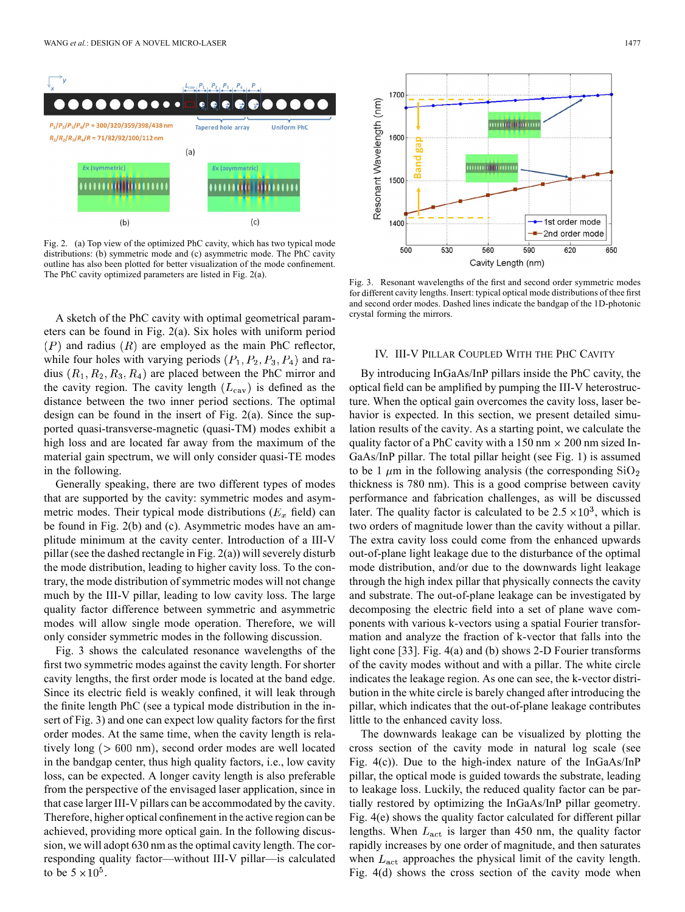

Fig. 2. (a) Top view of the optimized PhC cavity, which has two typical mode distributions: (b) symmetric mode and (c) asymmetric mode. The PhC cavity outline has also been plotted for better visualization of the mode confinement. The PhC cavity optimized parameters are listed in Fig. 2(a).

A sketch of the PhC cavity with optimal geometrical parameters can be found in Fig. 2(a). Six holes with uniform period  $(P)$  and radius  $(R)$  are employed as the main PhC reflector, while four holes with varying periods  $(P_1, P_2, P_3, P_4)$  and radius  $(R_1, R_2, R_3, R_4)$  are placed between the PhC mirror and the cavity region. The cavity length  $(L_{\text{cav}})$  is defined as the distance between the two inner period sections. The optimal design can be found in the insert of Fig. 2(a). Since the supported quasi-transverse-magnetic (quasi-TM) modes exhibit a high loss and are located far away from the maximum of the material gain spectrum, we will only consider quasi-TE modes in the following.

Generally speaking, there are two different types of modes that are supported by the cavity: symmetric modes and asymmetric modes. Their typical mode distributions ( $E_x$  field) can be found in Fig. 2(b) and (c). Asymmetric modes have an amplitude minimum at the cavity center. Introduction of a III-V pillar (see the dashed rectangle in Fig. 2(a)) will severely disturb the mode distribution, leading to higher cavity loss. To the contrary, the mode distribution of symmetric modes will not change much by the III-V pillar, leading to low cavity loss. The large quality factor difference between symmetric and asymmetric modes will allow single mode operation. Therefore, we will only consider symmetric modes in the following discussion.

Fig. 3 shows the calculated resonance wavelengths of the first two symmetric modes against the cavity length. For shorter cavity lengths, the first order mode is located at the band edge. Since its electric field is weakly confined, it will leak through the finite length PhC (see a typical mode distribution in the insert of Fig. 3) and one can expect low quality factors for the first order modes. At the same time, when the cavity length is relatively long ( $> 600$  nm), second order modes are well located in the bandgap center, thus high quality factors, i.e., low cavity loss, can be expected. A longer cavity length is also preferable from the perspective of the envisaged laser application, since in that case larger III-V pillars can be accommodated by the cavity. Therefore, higher optical confinement in the active region can be achieved, providing more optical gain. In the following discussion, we will adopt 630 nm as the optimal cavity length. The corresponding quality factor—without III-V pillar—is calculated to be  $5 \times 10^5$ .



Fig. 3. Resonant wavelengths of the first and second order symmetric modes for different cavity lengths. Insert: typical optical mode distributions of thee first and second order modes. Dashed lines indicate the bandgap of the 1D-photonic crystal forming the mirrors.

#### IV. III-V PILLAR COUPLED WITH THE PHC CAVITY

By introducing InGaAs/InP pillars inside the PhC cavity, the optical field can be amplified by pumping the III-V heterostructure. When the optical gain overcomes the cavity loss, laser behavior is expected. In this section, we present detailed simulation results of the cavity. As a starting point, we calculate the quality factor of a PhC cavity with a 150 nm  $\times$  200 nm sized In-GaAs/InP pillar. The total pillar height (see Fig. 1) is assumed to be 1  $\mu$ m in the following analysis (the corresponding SiO<sub>2</sub> thickness is 780 nm). This is a good comprise between cavity performance and fabrication challenges, as will be discussed later. The quality factor is calculated to be  $2.5 \times 10^3$ , which is two orders of magnitude lower than the cavity without a pillar. The extra cavity loss could come from the enhanced upwards out-of-plane light leakage due to the disturbance of the optimal mode distribution, and/or due to the downwards light leakage through the high index pillar that physically connects the cavity and substrate. The out-of-plane leakage can be investigated by decomposing the electric field into a set of plane wave components with various k-vectors using a spatial Fourier transformation and analyze the fraction of k-vector that falls into the light cone [33]. Fig. 4(a) and (b) shows 2-D Fourier transforms of the cavity modes without and with a pillar. The white circle indicates the leakage region. As one can see, the k-vector distribution in the white circle is barely changed after introducing the pillar, which indicates that the out-of-plane leakage contributes little to the enhanced cavity loss.

The downwards leakage can be visualized by plotting the cross section of the cavity mode in natural log scale (see Fig. 4(c)). Due to the high-index nature of the InGaAs/InP pillar, the optical mode is guided towards the substrate, leading to leakage loss. Luckily, the reduced quality factor can be partially restored by optimizing the InGaAs/InP pillar geometry. Fig. 4(e) shows the quality factor calculated for different pillar lengths. When  $L_{\text{act}}$  is larger than 450 nm, the quality factor rapidly increases by one order of magnitude, and then saturates when  $L_{\text{act}}$  approaches the physical limit of the cavity length. Fig. 4(d) shows the cross section of the cavity mode when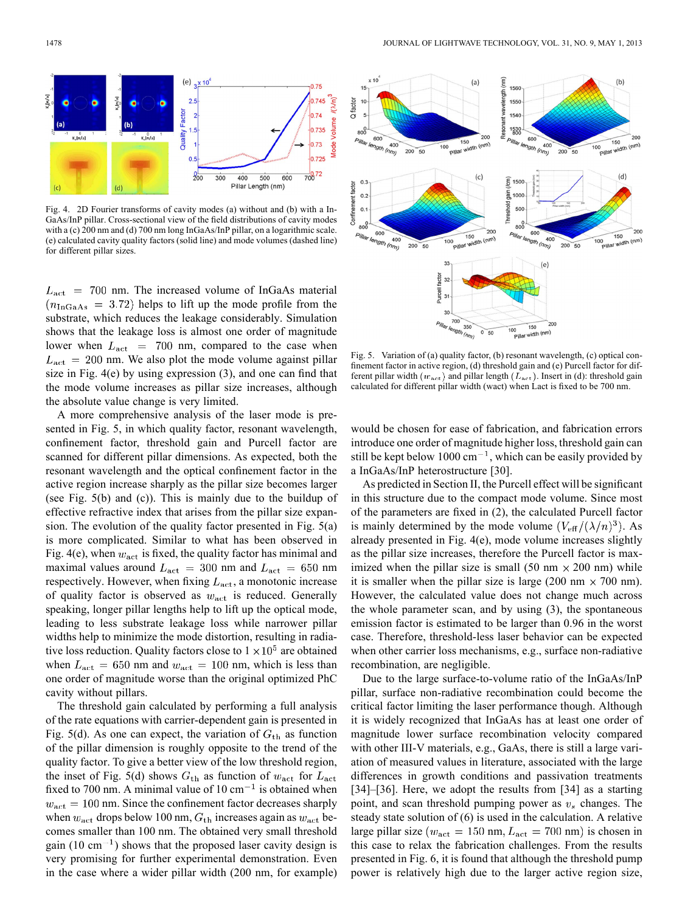

Fig. 4. 2D Fourier transforms of cavity modes (a) without and (b) with a In-GaAs/InP pillar. Cross-sectional view of the field distributions of cavity modes with a (c) 200 nm and (d) 700 nm long InGaAs/InP pillar, on a logarithmic scale. (e) calculated cavity quality factors (solid line) and mode volumes (dashed line) for different pillar sizes.

 $L_{\text{act}}$  = 700 nm. The increased volume of InGaAs material  $(n_{\text{InGaAs}} = 3.72)$  helps to lift up the mode profile from the substrate, which reduces the leakage considerably. Simulation shows that the leakage loss is almost one order of magnitude lower when  $L_{\text{act}}$  = 700 nm, compared to the case when  $L_{\text{act}} = 200$  nm. We also plot the mode volume against pillar size in Fig. 4(e) by using expression (3), and one can find that the mode volume increases as pillar size increases, although the absolute value change is very limited.

A more comprehensive analysis of the laser mode is presented in Fig. 5, in which quality factor, resonant wavelength, confinement factor, threshold gain and Purcell factor are scanned for different pillar dimensions. As expected, both the resonant wavelength and the optical confinement factor in the active region increase sharply as the pillar size becomes larger (see Fig. 5(b) and (c)). This is mainly due to the buildup of effective refractive index that arises from the pillar size expansion. The evolution of the quality factor presented in Fig. 5(a) is more complicated. Similar to what has been observed in Fig. 4(e), when  $w_{\text{act}}$  is fixed, the quality factor has minimal and maximal values around  $L_{\text{act}} = 300$  nm and  $L_{\text{act}} = 650$  nm respectively. However, when fixing  $L_{\text{act}}$ , a monotonic increase of quality factor is observed as  $w_{\text{act}}$  is reduced. Generally speaking, longer pillar lengths help to lift up the optical mode, leading to less substrate leakage loss while narrower pillar widths help to minimize the mode distortion, resulting in radiative loss reduction. Quality factors close to  $1 \times 10^5$  are obtained when  $L_{\text{act}} = 650$  nm and  $w_{\text{act}} = 100$  nm, which is less than one order of magnitude worse than the original optimized PhC cavity without pillars.

The threshold gain calculated by performing a full analysis of the rate equations with carrier-dependent gain is presented in Fig. 5(d). As one can expect, the variation of  $G<sub>th</sub>$  as function of the pillar dimension is roughly opposite to the trend of the quality factor. To give a better view of the low threshold region, the inset of Fig. 5(d) shows  $G_{th}$  as function of  $w_{act}$  for  $L_{act}$ fixed to 700 nm. A minimal value of  $10 \text{ cm}^{-1}$  is obtained when  $w_{\text{act}} = 100$  nm. Since the confinement factor decreases sharply when  $w_{\text{act}}$  drops below 100 nm,  $G_{\text{th}}$  increases again as  $w_{\text{act}}$  becomes smaller than 100 nm. The obtained very small threshold gain (10 cm<sup> $-1$ </sup>) shows that the proposed laser cavity design is very promising for further experimental demonstration. Even in the case where a wider pillar width (200 nm, for example)



Fig. 5. Variation of (a) quality factor, (b) resonant wavelength, (c) optical confinement factor in active region, (d) threshold gain and (e) Purcell factor for different pillar width  $(w_{\text{act}})$  and pillar length  $(L_{\text{act}})$ . Insert in (d): threshold gain calculated for different pillar width (wact) when Lact is fixed to be 700 nm.

would be chosen for ease of fabrication, and fabrication errors introduce one order of magnitude higher loss, threshold gain can still be kept below 1000 cm<sup> $-1$ </sup>, which can be easily provided by a InGaAs/InP heterostructure [30].

As predicted in Section II, the Purcell effect will be significant in this structure due to the compact mode volume. Since most of the parameters are fixed in (2), the calculated Purcell factor is mainly determined by the mode volume  $(V_{\text{eff}}/(\lambda/n)^3)$ . As already presented in Fig. 4(e), mode volume increases slightly as the pillar size increases, therefore the Purcell factor is maximized when the pillar size is small (50 nm  $\times$  200 nm) while it is smaller when the pillar size is large (200 nm  $\times$  700 nm). However, the calculated value does not change much across the whole parameter scan, and by using (3), the spontaneous emission factor is estimated to be larger than 0.96 in the worst case. Therefore, threshold-less laser behavior can be expected when other carrier loss mechanisms, e.g., surface non-radiative recombination, are negligible.

Due to the large surface-to-volume ratio of the InGaAs/InP pillar, surface non-radiative recombination could become the critical factor limiting the laser performance though. Although it is widely recognized that InGaAs has at least one order of magnitude lower surface recombination velocity compared with other III-V materials, e.g., GaAs, there is still a large variation of measured values in literature, associated with the large differences in growth conditions and passivation treatments [34]–[36]. Here, we adopt the results from [34] as a starting point, and scan threshold pumping power as  $v<sub>s</sub>$  changes. The steady state solution of (6) is used in the calculation. A relative large pillar size ( $w_{\text{act}} = 150 \text{ nm}, L_{\text{act}} = 700 \text{ nm}$ ) is chosen in this case to relax the fabrication challenges. From the results presented in Fig. 6, it is found that although the threshold pump power is relatively high due to the larger active region size,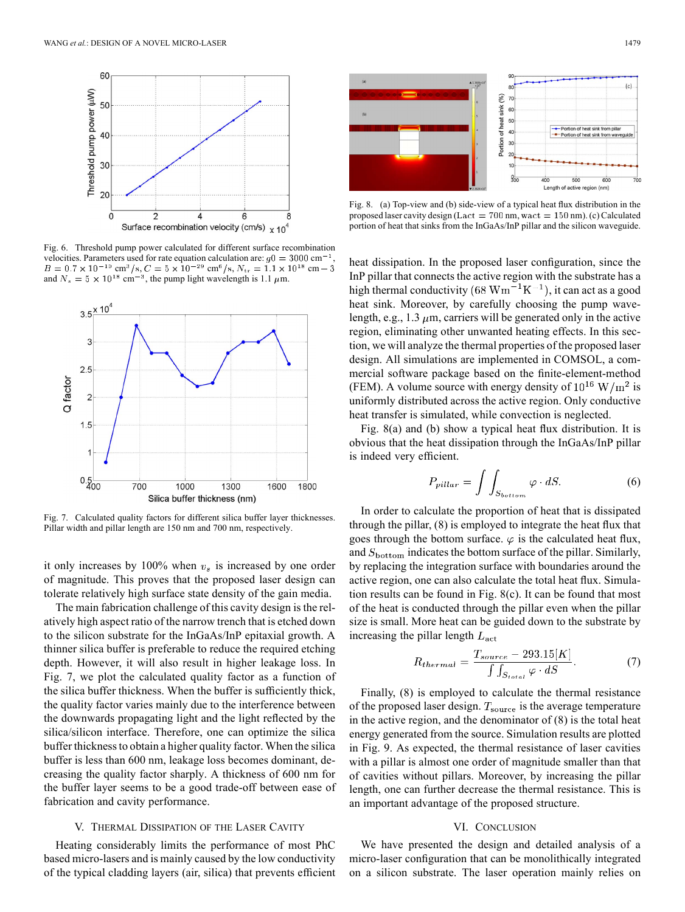

Fig. 6. Threshold pump power calculated for different surface recombination velocities. Parameters used for rate equation calculation are:  $q0 = 3000 \text{ cm}^{-1}$  $\text{cm}^3/\text{s}$ ,  $C = 5 \times 10^{-29} \text{ cm}^6/\text{s}$ ,  $N_{\text{tr}} = 1.1 \times 10^{18} \text{ cm}$ and  $N_s = 5 \times 10^{18}$  cm<sup>-3</sup>, the pump light wavelength is 1.1  $\mu$ m.



Fig. 7. Calculated quality factors for different silica buffer layer thicknesses. Pillar width and pillar length are 150 nm and 700 nm, respectively.

it only increases by 100% when  $v_s$  is increased by one order of magnitude. This proves that the proposed laser design can tolerate relatively high surface state density of the gain media.

The main fabrication challenge of this cavity design is the relatively high aspect ratio of the narrow trench that is etched down to the silicon substrate for the InGaAs/InP epitaxial growth. A thinner silica buffer is preferable to reduce the required etching depth. However, it will also result in higher leakage loss. In Fig. 7, we plot the calculated quality factor as a function of the silica buffer thickness. When the buffer is sufficiently thick, the quality factor varies mainly due to the interference between the downwards propagating light and the light reflected by the silica/silicon interface. Therefore, one can optimize the silica buffer thickness to obtain a higher quality factor. When the silica buffer is less than 600 nm, leakage loss becomes dominant, decreasing the quality factor sharply. A thickness of 600 nm for the buffer layer seems to be a good trade-off between ease of fabrication and cavity performance.

# V. THERMAL DISSIPATION OF THE LASER CAVITY

Heating considerably limits the performance of most PhC based micro-lasers and is mainly caused by the low conductivity of the typical cladding layers (air, silica) that prevents efficient





Fig. 8. (a) Top-view and (b) side-view of a typical heat flux distribution in the proposed laser cavity design ( $Lact = 700$  nm, wact = 150 nm). (c) Calculated portion of heat that sinks from the InGaAs/InP pillar and the silicon waveguide.

heat dissipation. In the proposed laser configuration, since the InP pillar that connects the active region with the substrate has a high thermal conductivity (68  $\text{Wm}^{-1}\text{K}^{-1}$ ), it can act as a good heat sink. Moreover, by carefully choosing the pump wavelength, e.g., 1.3  $\mu$ m, carriers will be generated only in the active region, eliminating other unwanted heating effects. In this section, we will analyze the thermal properties of the proposed laser design. All simulations are implemented in COMSOL, a commercial software package based on the finite-element-method (FEM). A volume source with energy density of  $10^{16}$  W/m<sup>2</sup> is uniformly distributed across the active region. Only conductive heat transfer is simulated, while convection is neglected.

Fig. 8(a) and (b) show a typical heat flux distribution. It is obvious that the heat dissipation through the InGaAs/InP pillar is indeed very efficient.

$$
P_{pillar} = \int \int_{S_{bottom}} \varphi \cdot dS. \tag{6}
$$

In order to calculate the proportion of heat that is dissipated through the pillar, (8) is employed to integrate the heat flux that goes through the bottom surface.  $\varphi$  is the calculated heat flux, and  $S_{\text{bottom}}$  indicates the bottom surface of the pillar. Similarly, by replacing the integration surface with boundaries around the active region, one can also calculate the total heat flux. Simulation results can be found in Fig. 8(c). It can be found that most of the heat is conducted through the pillar even when the pillar size is small. More heat can be guided down to the substrate by increasing the pillar length  $L_{\text{act}}$ 

$$
R_{thermal} = \frac{T_{source} - 293.15[K]}{\int \int_{S_{total}} \varphi \cdot dS}.
$$
 (7)

Finally, (8) is employed to calculate the thermal resistance of the proposed laser design.  $T_{\text{source}}$  is the average temperature in the active region, and the denominator of (8) is the total heat energy generated from the source. Simulation results are plotted in Fig. 9. As expected, the thermal resistance of laser cavities with a pillar is almost one order of magnitude smaller than that of cavities without pillars. Moreover, by increasing the pillar length, one can further decrease the thermal resistance. This is an important advantage of the proposed structure.

## VI. CONCLUSION

We have presented the design and detailed analysis of a micro-laser configuration that can be monolithically integrated on a silicon substrate. The laser operation mainly relies on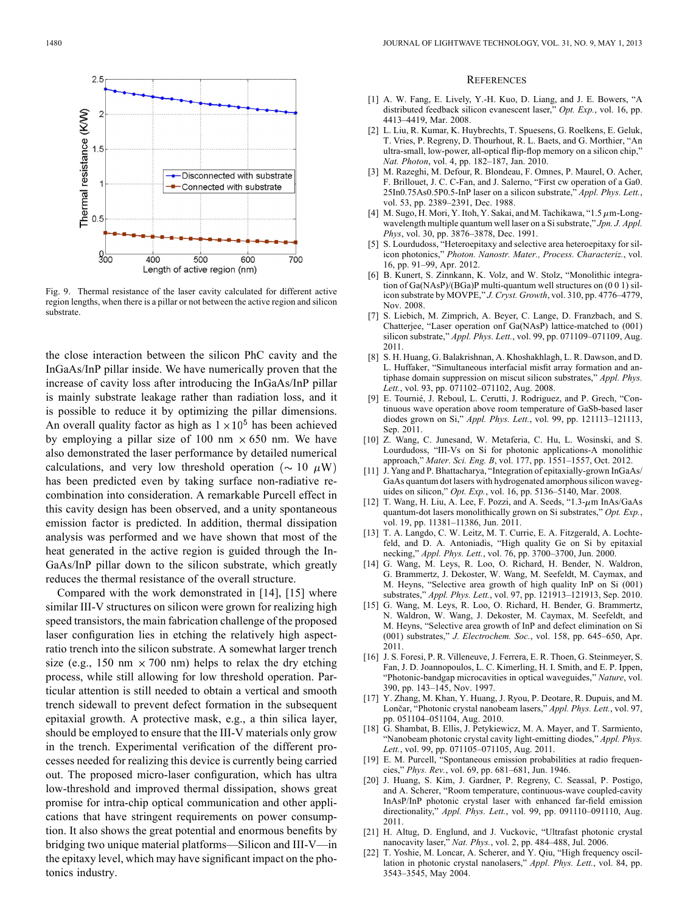

Fig. 9. Thermal resistance of the laser cavity calculated for different active region lengths, when there is a pillar or not between the active region and silicon substrate.

the close interaction between the silicon PhC cavity and the InGaAs/InP pillar inside. We have numerically proven that the increase of cavity loss after introducing the InGaAs/InP pillar is mainly substrate leakage rather than radiation loss, and it is possible to reduce it by optimizing the pillar dimensions. An overall quality factor as high as  $1 \times 10^5$  has been achieved by employing a pillar size of 100 nm  $\times$  650 nm. We have also demonstrated the laser performance by detailed numerical calculations, and very low threshold operation ( $\sim 10 \mu W$ ) has been predicted even by taking surface non-radiative recombination into consideration. A remarkable Purcell effect in this cavity design has been observed, and a unity spontaneous emission factor is predicted. In addition, thermal dissipation analysis was performed and we have shown that most of the heat generated in the active region is guided through the In-GaAs/InP pillar down to the silicon substrate, which greatly reduces the thermal resistance of the overall structure.

Compared with the work demonstrated in [14], [15] where similar III-V structures on silicon were grown for realizing high speed transistors, the main fabrication challenge of the proposed laser configuration lies in etching the relatively high aspectratio trench into the silicon substrate. A somewhat larger trench size (e.g., 150 nm  $\times$  700 nm) helps to relax the dry etching process, while still allowing for low threshold operation. Particular attention is still needed to obtain a vertical and smooth trench sidewall to prevent defect formation in the subsequent epitaxial growth. A protective mask, e.g., a thin silica layer, should be employed to ensure that the III-V materials only grow in the trench. Experimental verification of the different processes needed for realizing this device is currently being carried out. The proposed micro-laser configuration, which has ultra low-threshold and improved thermal dissipation, shows great promise for intra-chip optical communication and other applications that have stringent requirements on power consumption. It also shows the great potential and enormous benefits by bridging two unique material platforms—Silicon and III-V—in the epitaxy level, which may have significant impact on the photonics industry.

## **REFERENCES**

- [1] A. W. Fang, E. Lively, Y.-H. Kuo, D. Liang, and J. E. Bowers, "A distributed feedback silicon evanescent laser," *Opt. Exp.*, vol. 16, pp. 4413–4419, Mar. 2008.
- [2] L. Liu, R. Kumar, K. Huybrechts, T. Spuesens, G. Roelkens, E. Geluk, T. Vries, P. Regreny, D. Thourhout, R. L. Baets, and G. Morthier, "An ultra-small, low-power, all-optical flip-flop memory on a silicon chip,' *Nat. Photon*, vol. 4, pp. 182–187, Jan. 2010.
- [3] M. Razeghi, M. Defour, R. Blondeau, F. Omnes, P. Maurel, O. Acher, F. Brillouet, J. C. C-Fan, and J. Salerno, "First cw operation of a Ga0. 25In0.75As0.5P0.5-InP laser on a silicon substrate," *Appl. Phys. Lett.*, vol. 53, pp. 2389–2391, Dec. 1988.
- [4] M. Sugo, H. Mori, Y. Itoh, Y. Sakai, and M. Tachikawa, "1.5  $\mu$ m-Longwavelength multiple quantum well laser on a Si substrate," *Jpn. J. Appl. Phys*, vol. 30, pp. 3876–3878, Dec. 1991.
- [5] S. Lourdudoss, "Heteroepitaxy and selective area heteroepitaxy for silicon photonics," *Photon. Nanostr. Mater., Process. Characteriz.*, vol. 16, pp. 91–99, Apr. 2012.
- [6] B. Kunert, S. Zinnkann, K. Volz, and W. Stolz, "Monolithic integration of Ga(NAsP)/(BGa)P multi-quantum well structures on (0 0 1) silicon substrate by MOVPE," *J. Cryst. Growth*, vol. 310, pp. 4776–4779, Nov. 2008.
- [7] S. Liebich, M. Zimprich, A. Beyer, C. Lange, D. Franzbach, and S. Chatterjee, "Laser operation onf Ga(NAsP) lattice-matched to (001) silicon substrate," *Appl. Phys. Lett.*, vol. 99, pp. 071109–071109, Aug. 2011.
- [8] S. H. Huang, G. Balakrishnan, A. Khoshakhlagh, L. R. Dawson, and D. L. Huffaker, "Simultaneous interfacial misfit array formation and antiphase domain suppression on miscut silicon substrates," *Appl. Phys. Lett.*, vol. 93, pp. 071102–071102, Aug. 2008.
- [9] E. Tournié, J. Reboul, L. Cerutti, J. Rodriguez, and P. Grech, "Continuous wave operation above room temperature of GaSb-based laser diodes grown on Si," *Appl. Phys. Lett.*, vol. 99, pp. 121113–121113, Sep. 2011.
- [10] Z. Wang, C. Junesand, W. Metaferia, C. Hu, L. Wosinski, and S. Lourdudoss, "III-Vs on Si for photonic applications-A monolithic approach," *Mater. Sci. Eng. B*, vol. 177, pp. 1551–1557, Oct. 2012.
- [11] J. Yang and P. Bhattacharya, "Integration of epitaxially-grown InGaAs/ GaAs quantum dot lasers with hydrogenated amorphous silicon waveguides on silicon," *Opt. Exp.*, vol. 16, pp. 5136–5140, Mar. 2008.
- [12] T. Wang, H. Liu, A. Lee, F. Pozzi, and A. Seeds, " $1.3$ - $\mu$ m InAs/GaAs quantum-dot lasers monolithically grown on Si substrates," *Opt. Exp.*, vol. 19, pp. 11381–11386, Jun. 2011.
- [13] T. A. Langdo, C. W. Leitz, M. T. Currie, E. A. Fitzgerald, A. Lochtefeld, and D. A. Antoniadis, "High quality Ge on Si by epitaxial necking," *Appl. Phys. Lett.*, vol. 76, pp. 3700–3700, Jun. 2000.
- [14] G. Wang, M. Leys, R. Loo, O. Richard, H. Bender, N. Waldron, G. Brammertz, J. Dekoster, W. Wang, M. Seefeldt, M. Caymax, and M. Heyns, "Selective area growth of high quality InP on Si (001) substrates," *Appl. Phys. Lett.*, vol. 97, pp. 121913–121913, Sep. 2010.
- [15] G. Wang, M. Leys, R. Loo, O. Richard, H. Bender, G. Brammertz, N. Waldron, W. Wang, J. Dekoster, M. Caymax, M. Seefeldt, and M. Heyns, "Selective area growth of InP and defect elimination on Si (001) substrates," *J. Electrochem. Soc.*, vol. 158, pp. 645–650, Apr. 2011.
- [16] J. S. Foresi, P. R. Villeneuve, J. Ferrera, E. R. Thoen, G. Steinmeyer, S. Fan, J. D. Joannopoulos, L. C. Kimerling, H. I. Smith, and E. P. Ippen, "Photonic-bandgap microcavities in optical waveguides," *Nature*, vol. 390, pp. 143–145, Nov. 1997.
- [17] Y. Zhang, M. Khan, Y. Huang, J. Ryou, P. Deotare, R. Dupuis, and M. Lončar, "Photonic crystal nanobeam lasers," *Appl. Phys. Lett.*, vol. 97, pp. 051104–051104, Aug. 2010.
- [18] G. Shambat, B. Ellis, J. Petykiewicz, M. A. Mayer, and T. Sarmiento, "Nanobeam photonic crystal cavity light-emitting diodes," *Appl. Phys. Lett.*, vol. 99, pp. 071105–071105, Aug. 2011.
- [19] E. M. Purcell, "Spontaneous emission probabilities at radio frequencies," *Phys. Rev.*, vol. 69, pp. 681–681, Jun. 1946.
- [20] J. Huang, S. Kim, J. Gardner, P. Regreny, C. Seassal, P. Postigo, and A. Scherer, "Room temperature, continuous-wave coupled-cavity InAsP/InP photonic crystal laser with enhanced far-field emission directionality," *Appl. Phys. Lett.*, vol. 99, pp. 091110–091110, Aug. 2011.
- [21] H. Altug, D. Englund, and J. Vuckovic, "Ultrafast photonic crystal nanocavity laser," *Nat. Phys.*, vol. 2, pp. 484–488, Jul. 2006.
- [22] T. Yoshie, M. Loncar, A. Scherer, and Y. Qiu, "High frequency oscillation in photonic crystal nanolasers," *Appl. Phys. Lett.*, vol. 84, pp. 3543–3545, May 2004.